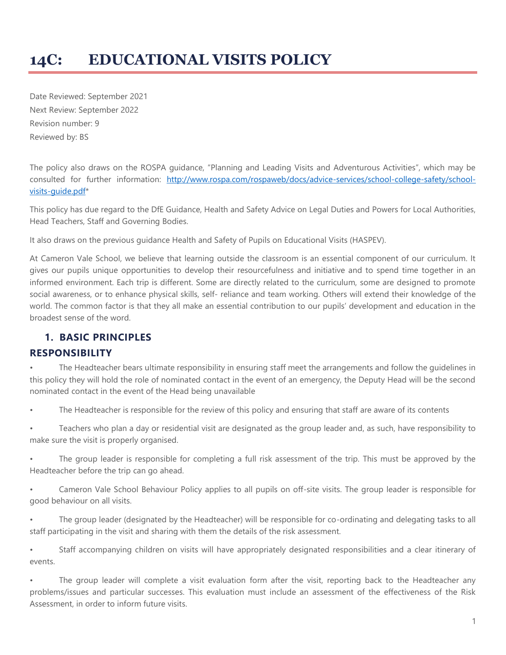# **14C: EDUCATIONAL VISITS POLICY**

Date Reviewed: September 2021 Next Review: September 2022 Revision number: 9 Reviewed by: BS

The policy also draws on the ROSPA guidance, "Planning and Leading Visits and Adventurous Activities", which may be consulted for further information: [http://www.rospa.com/rospaweb/docs/advice-services/school-college-safety/school](http://www.rospa.com/rospaweb/docs/advice-services/school-college-safety/school-visits-guide.pdf)[visits-guide.pdf\\*](http://www.rospa.com/rospaweb/docs/advice-services/school-college-safety/school-visits-guide.pdf)

This policy has due regard to the DfE Guidance, Health and Safety Advice on Legal Duties and Powers for Local Authorities, Head Teachers, Staff and Governing Bodies.

It also draws on the previous guidance Health and Safety of Pupils on Educational Visits (HASPEV).

At Cameron Vale School, we believe that learning outside the classroom is an essential component of our curriculum. It gives our pupils unique opportunities to develop their resourcefulness and initiative and to spend time together in an informed environment. Each trip is different. Some are directly related to the curriculum, some are designed to promote social awareness, or to enhance physical skills, self- reliance and team working. Others will extend their knowledge of the world. The common factor is that they all make an essential contribution to our pupils' development and education in the broadest sense of the word.

#### **1. BASIC PRINCIPLES**

#### **RESPONSIBILITY**

The Headteacher bears ultimate responsibility in ensuring staff meet the arrangements and follow the guidelines in this policy they will hold the role of nominated contact in the event of an emergency, the Deputy Head will be the second nominated contact in the event of the Head being unavailable

The Headteacher is responsible for the review of this policy and ensuring that staff are aware of its contents

• Teachers who plan a day or residential visit are designated as the group leader and, as such, have responsibility to make sure the visit is properly organised.

The group leader is responsible for completing a full risk assessment of the trip. This must be approved by the Headteacher before the trip can go ahead.

• Cameron Vale School Behaviour Policy applies to all pupils on off-site visits. The group leader is responsible for good behaviour on all visits.

• The group leader (designated by the Headteacher) will be responsible for co-ordinating and delegating tasks to all staff participating in the visit and sharing with them the details of the risk assessment.

• Staff accompanying children on visits will have appropriately designated responsibilities and a clear itinerary of events.

The group leader will complete a visit evaluation form after the visit, reporting back to the Headteacher any problems/issues and particular successes. This evaluation must include an assessment of the effectiveness of the Risk Assessment, in order to inform future visits.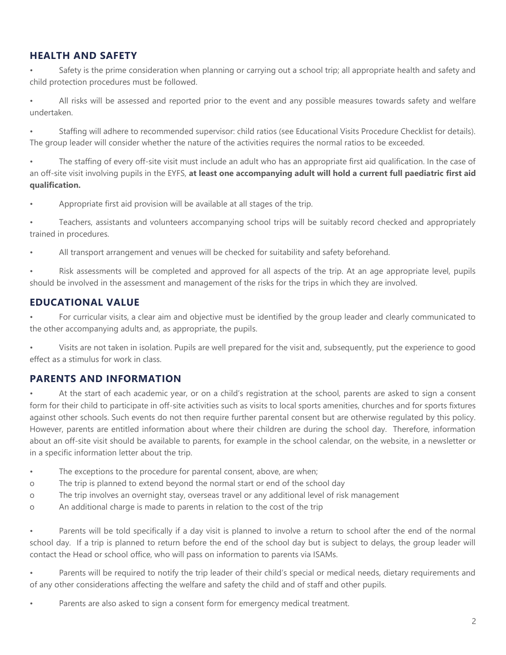## **HEALTH AND SAFETY**

• Safety is the prime consideration when planning or carrying out a school trip; all appropriate health and safety and child protection procedures must be followed.

• All risks will be assessed and reported prior to the event and any possible measures towards safety and welfare undertaken.

• Staffing will adhere to recommended supervisor: child ratios (see Educational Visits Procedure Checklist for details). The group leader will consider whether the nature of the activities requires the normal ratios to be exceeded.

• The staffing of every off-site visit must include an adult who has an appropriate first aid qualification. In the case of an off-site visit involving pupils in the EYFS, **at least one accompanying adult will hold a current full paediatric first aid qualification.** 

• Appropriate first aid provision will be available at all stages of the trip.

• Teachers, assistants and volunteers accompanying school trips will be suitably record checked and appropriately trained in procedures.

• All transport arrangement and venues will be checked for suitability and safety beforehand.

• Risk assessments will be completed and approved for all aspects of the trip. At an age appropriate level, pupils should be involved in the assessment and management of the risks for the trips in which they are involved.

#### **EDUCATIONAL VALUE**

• For curricular visits, a clear aim and objective must be identified by the group leader and clearly communicated to the other accompanying adults and, as appropriate, the pupils.

• Visits are not taken in isolation. Pupils are well prepared for the visit and, subsequently, put the experience to good effect as a stimulus for work in class.

#### **PARENTS AND INFORMATION**

• At the start of each academic year, or on a child's registration at the school, parents are asked to sign a consent form for their child to participate in off-site activities such as visits to local sports amenities, churches and for sports fixtures against other schools. Such events do not then require further parental consent but are otherwise regulated by this policy. However, parents are entitled information about where their children are during the school day. Therefore, information about an off-site visit should be available to parents, for example in the school calendar, on the website, in a newsletter or in a specific information letter about the trip.

- The exceptions to the procedure for parental consent, above, are when;
- o The trip is planned to extend beyond the normal start or end of the school day
- o The trip involves an overnight stay, overseas travel or any additional level of risk management
- o An additional charge is made to parents in relation to the cost of the trip

• Parents will be told specifically if a day visit is planned to involve a return to school after the end of the normal school day. If a trip is planned to return before the end of the school day but is subject to delays, the group leader will contact the Head or school office, who will pass on information to parents via ISAMs.

Parents will be required to notify the trip leader of their child's special or medical needs, dietary requirements and of any other considerations affecting the welfare and safety the child and of staff and other pupils.

Parents are also asked to sign a consent form for emergency medical treatment.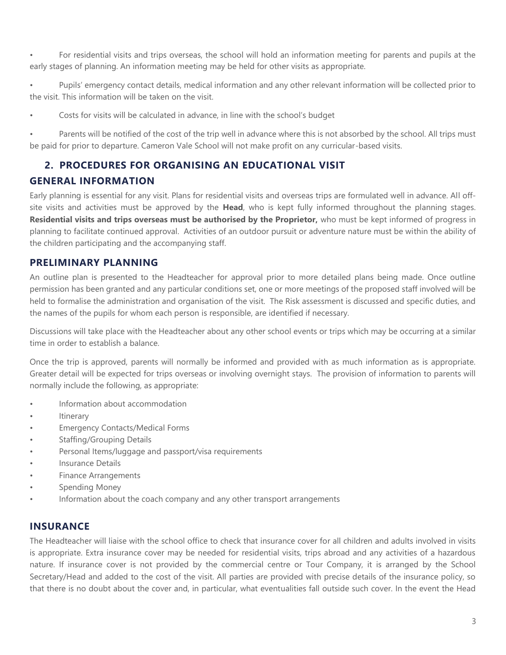• For residential visits and trips overseas, the school will hold an information meeting for parents and pupils at the early stages of planning. An information meeting may be held for other visits as appropriate.

• Pupils' emergency contact details, medical information and any other relevant information will be collected prior to the visit. This information will be taken on the visit.

Costs for visits will be calculated in advance, in line with the school's budget

Parents will be notified of the cost of the trip well in advance where this is not absorbed by the school. All trips must be paid for prior to departure. Cameron Vale School will not make profit on any curricular-based visits.

### **2. PROCEDURES FOR ORGANISING AN EDUCATIONAL VISIT**

### **GENERAL INFORMATION**

Early planning is essential for any visit. Plans for residential visits and overseas trips are formulated well in advance. All offsite visits and activities must be approved by the **Head**, who is kept fully informed throughout the planning stages. **Residential visits and trips overseas must be authorised by the Proprietor,** who must be kept informed of progress in planning to facilitate continued approval. Activities of an outdoor pursuit or adventure nature must be within the ability of the children participating and the accompanying staff.

### **PRELIMINARY PLANNING**

An outline plan is presented to the Headteacher for approval prior to more detailed plans being made. Once outline permission has been granted and any particular conditions set, one or more meetings of the proposed staff involved will be held to formalise the administration and organisation of the visit. The Risk assessment is discussed and specific duties, and the names of the pupils for whom each person is responsible, are identified if necessary.

Discussions will take place with the Headteacher about any other school events or trips which may be occurring at a similar time in order to establish a balance.

Once the trip is approved, parents will normally be informed and provided with as much information as is appropriate. Greater detail will be expected for trips overseas or involving overnight stays. The provision of information to parents will normally include the following, as appropriate:

- Information about accommodation
- Itinerary
- Emergency Contacts/Medical Forms
- Staffing/Grouping Details
- Personal Items/luggage and passport/visa requirements
- Insurance Details
- Finance Arrangements
- Spending Money
- Information about the coach company and any other transport arrangements

#### **INSURANCE**

The Headteacher will liaise with the school office to check that insurance cover for all children and adults involved in visits is appropriate. Extra insurance cover may be needed for residential visits, trips abroad and any activities of a hazardous nature. If insurance cover is not provided by the commercial centre or Tour Company, it is arranged by the School Secretary/Head and added to the cost of the visit. All parties are provided with precise details of the insurance policy, so that there is no doubt about the cover and, in particular, what eventualities fall outside such cover. In the event the Head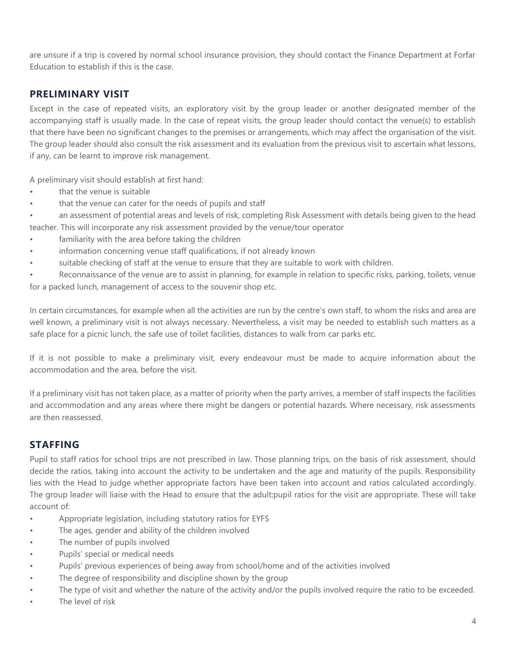are unsure if a trip is covered by normal school insurance provision, they should contact the Finance Department at Forfar Education to establish if this is the case.

#### **PRELIMINARY VISIT**

Except in the case of repeated visits, an exploratory visit by the group leader or another designated member of the accompanying staff is usually made. In the case of repeat visits, the group leader should contact the venue(s) to establish that there have been no significant changes to the premises or arrangements, which may affect the organisation of the visit. The group leader should also consult the risk assessment and its evaluation from the previous visit to ascertain what lessons, if any, can be learnt to improve risk management.

A preliminary visit should establish at first hand:

- that the venue is suitable
- that the venue can cater for the needs of pupils and staff

• an assessment of potential areas and levels of risk, completing Risk Assessment with details being given to the head teacher. This will incorporate any risk assessment provided by the venue/tour operator

- familiarity with the area before taking the children
- information concerning venue staff qualifications, if not already known
- suitable checking of staff at the venue to ensure that they are suitable to work with children.

• Reconnaissance of the venue are to assist in planning, for example in relation to specific risks, parking, toilets, venue for a packed lunch, management of access to the souvenir shop etc.

In certain circumstances, for example when all the activities are run by the centre's own staff, to whom the risks and area are well known, a preliminary visit is not always necessary. Nevertheless, a visit may be needed to establish such matters as a safe place for a picnic lunch, the safe use of toilet facilities, distances to walk from car parks etc.

If it is not possible to make a preliminary visit, every endeavour must be made to acquire information about the accommodation and the area, before the visit.

If a preliminary visit has not taken place, as a matter of priority when the party arrives, a member of staff inspects the facilities and accommodation and any areas where there might be dangers or potential hazards. Where necessary, risk assessments are then reassessed.

#### **STAFFING**

Pupil to staff ratios for school trips are not prescribed in law. Those planning trips, on the basis of risk assessment, should decide the ratios, taking into account the activity to be undertaken and the age and maturity of the pupils. Responsibility lies with the Head to judge whether appropriate factors have been taken into account and ratios calculated accordingly. The group leader will liaise with the Head to ensure that the adult:pupil ratios for the visit are appropriate. These will take account of:

- Appropriate legislation, including statutory ratios for EYFS
- The ages, gender and ability of the children involved
- The number of pupils involved
- Pupils' special or medical needs
- Pupils' previous experiences of being away from school/home and of the activities involved
- The degree of responsibility and discipline shown by the group
- The type of visit and whether the nature of the activity and/or the pupils involved require the ratio to be exceeded.
- The level of risk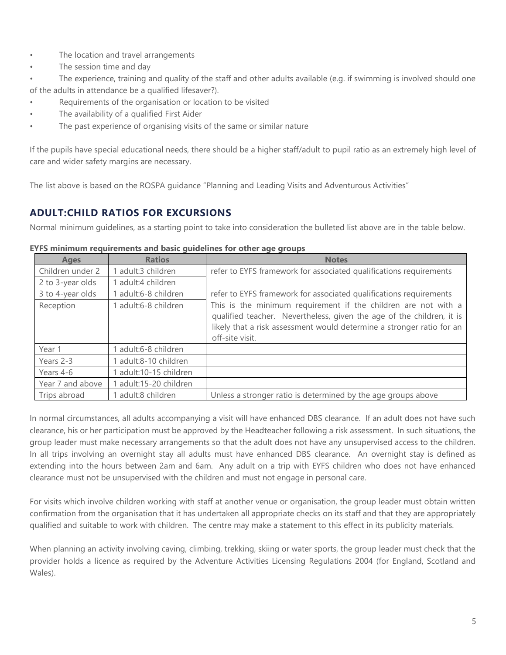- The location and travel arrangements
- The session time and day
- The experience, training and quality of the staff and other adults available (e.g. if swimming is involved should one of the adults in attendance be a qualified lifesaver?).
- Requirements of the organisation or location to be visited
- The availability of a qualified First Aider
- The past experience of organising visits of the same or similar nature

If the pupils have special educational needs, there should be a higher staff/adult to pupil ratio as an extremely high level of care and wider safety margins are necessary.

The list above is based on the ROSPA guidance "Planning and Leading Visits and Adventurous Activities"

### **ADULT:CHILD RATIOS FOR EXCURSIONS**

Normal minimum guidelines, as a starting point to take into consideration the bulleted list above are in the table below.

| <b>Ages</b>      | <b>Ratios</b>          | <b>Notes</b>                                                                                                                                                                                                                        |
|------------------|------------------------|-------------------------------------------------------------------------------------------------------------------------------------------------------------------------------------------------------------------------------------|
| Children under 2 | adult:3 children       | refer to EYFS framework for associated qualifications requirements                                                                                                                                                                  |
| 2 to 3-year olds | 1 adult:4 children     |                                                                                                                                                                                                                                     |
| 3 to 4-year olds | 1 adult:6-8 children   | refer to EYFS framework for associated qualifications requirements                                                                                                                                                                  |
| Reception        | 1 adult:6-8 children   | This is the minimum requirement if the children are not with a<br>qualified teacher. Nevertheless, given the age of the children, it is<br>likely that a risk assessment would determine a stronger ratio for an<br>off-site visit. |
| Year 1           | 1 adult:6-8 children   |                                                                                                                                                                                                                                     |
| Years 2-3        | 1 adult:8-10 children  |                                                                                                                                                                                                                                     |
| Years 4-6        | 1 adult:10-15 children |                                                                                                                                                                                                                                     |
| Year 7 and above | 1 adult:15-20 children |                                                                                                                                                                                                                                     |
| Trips abroad     | 1 adult:8 children     | Unless a stronger ratio is determined by the age groups above                                                                                                                                                                       |

#### **EYFS minimum requirements and basic guidelines for other age groups**

In normal circumstances, all adults accompanying a visit will have enhanced DBS clearance. If an adult does not have such clearance, his or her participation must be approved by the Headteacher following a risk assessment. In such situations, the group leader must make necessary arrangements so that the adult does not have any unsupervised access to the children. In all trips involving an overnight stay all adults must have enhanced DBS clearance. An overnight stay is defined as extending into the hours between 2am and 6am. Any adult on a trip with EYFS children who does not have enhanced clearance must not be unsupervised with the children and must not engage in personal care.

For visits which involve children working with staff at another venue or organisation, the group leader must obtain written confirmation from the organisation that it has undertaken all appropriate checks on its staff and that they are appropriately qualified and suitable to work with children. The centre may make a statement to this effect in its publicity materials.

When planning an activity involving caving, climbing, trekking, skiing or water sports, the group leader must check that the provider holds a licence as required by the Adventure Activities Licensing Regulations 2004 (for England, Scotland and Wales).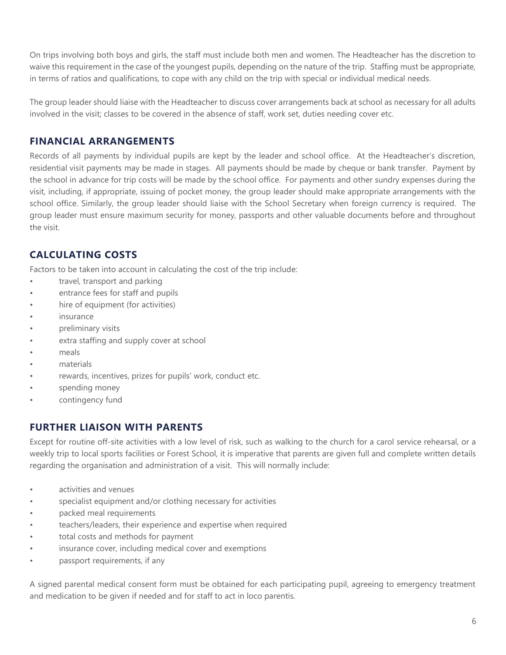On trips involving both boys and girls, the staff must include both men and women. The Headteacher has the discretion to waive this requirement in the case of the youngest pupils, depending on the nature of the trip. Staffing must be appropriate, in terms of ratios and qualifications, to cope with any child on the trip with special or individual medical needs.

The group leader should liaise with the Headteacher to discuss cover arrangements back at school as necessary for all adults involved in the visit; classes to be covered in the absence of staff, work set, duties needing cover etc.

#### **FINANCIAL ARRANGEMENTS**

Records of all payments by individual pupils are kept by the leader and school office. At the Headteacher's discretion, residential visit payments may be made in stages. All payments should be made by cheque or bank transfer. Payment by the school in advance for trip costs will be made by the school office. For payments and other sundry expenses during the visit, including, if appropriate, issuing of pocket money, the group leader should make appropriate arrangements with the school office. Similarly, the group leader should liaise with the School Secretary when foreign currency is required. The group leader must ensure maximum security for money, passports and other valuable documents before and throughout the visit.

# **CALCULATING COSTS**

Factors to be taken into account in calculating the cost of the trip include:

- travel, transport and parking
- entrance fees for staff and pupils
- hire of equipment (for activities)
- insurance
- preliminary visits
- extra staffing and supply cover at school
- meals
- materials
- rewards, incentives, prizes for pupils' work, conduct etc.
- spending money
- contingency fund

### **FURTHER LIAISON WITH PARENTS**

Except for routine off-site activities with a low level of risk, such as walking to the church for a carol service rehearsal, or a weekly trip to local sports facilities or Forest School, it is imperative that parents are given full and complete written details regarding the organisation and administration of a visit. This will normally include:

- activities and venues
- specialist equipment and/or clothing necessary for activities
- packed meal requirements
- teachers/leaders, their experience and expertise when required
- total costs and methods for payment
- insurance cover, including medical cover and exemptions
- passport requirements, if any

A signed parental medical consent form must be obtained for each participating pupil, agreeing to emergency treatment and medication to be given if needed and for staff to act in loco parentis.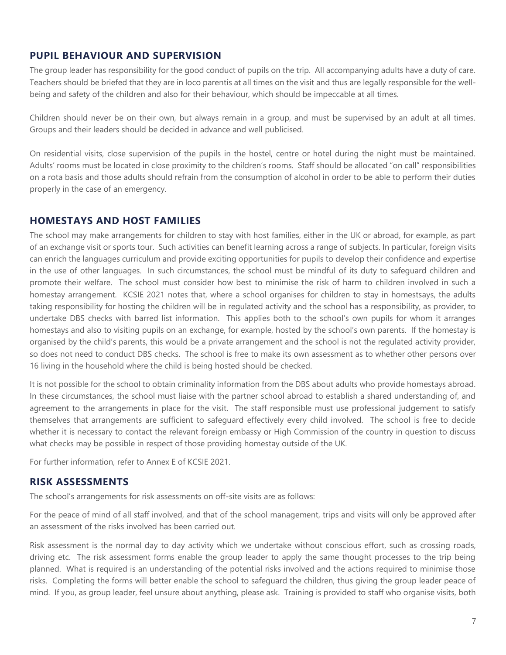#### **PUPIL BEHAVIOUR AND SUPERVISION**

The group leader has responsibility for the good conduct of pupils on the trip. All accompanying adults have a duty of care. Teachers should be briefed that they are in loco parentis at all times on the visit and thus are legally responsible for the wellbeing and safety of the children and also for their behaviour, which should be impeccable at all times.

Children should never be on their own, but always remain in a group, and must be supervised by an adult at all times. Groups and their leaders should be decided in advance and well publicised.

On residential visits, close supervision of the pupils in the hostel, centre or hotel during the night must be maintained. Adults' rooms must be located in close proximity to the children's rooms. Staff should be allocated "on call" responsibilities on a rota basis and those adults should refrain from the consumption of alcohol in order to be able to perform their duties properly in the case of an emergency.

#### **HOMESTAYS AND HOST FAMILIES**

The school may make arrangements for children to stay with host families, either in the UK or abroad, for example, as part of an exchange visit or sports tour. Such activities can benefit learning across a range of subjects. In particular, foreign visits can enrich the languages curriculum and provide exciting opportunities for pupils to develop their confidence and expertise in the use of other languages. In such circumstances, the school must be mindful of its duty to safeguard children and promote their welfare. The school must consider how best to minimise the risk of harm to children involved in such a homestay arrangement. KCSIE 2021 notes that, where a school organises for children to stay in homestsays, the adults taking responsibility for hosting the children will be in regulated activity and the school has a responsibility, as provider, to undertake DBS checks with barred list information. This applies both to the school's own pupils for whom it arranges homestays and also to visiting pupils on an exchange, for example, hosted by the school's own parents. If the homestay is organised by the child's parents, this would be a private arrangement and the school is not the regulated activity provider, so does not need to conduct DBS checks. The school is free to make its own assessment as to whether other persons over 16 living in the household where the child is being hosted should be checked.

It is not possible for the school to obtain criminality information from the DBS about adults who provide homestays abroad. In these circumstances, the school must liaise with the partner school abroad to establish a shared understanding of, and agreement to the arrangements in place for the visit. The staff responsible must use professional judgement to satisfy themselves that arrangements are sufficient to safeguard effectively every child involved. The school is free to decide whether it is necessary to contact the relevant foreign embassy or High Commission of the country in question to discuss what checks may be possible in respect of those providing homestay outside of the UK.

For further information, refer to Annex E of KCSIE 2021.

#### **RISK ASSESSMENTS**

The school's arrangements for risk assessments on off-site visits are as follows:

For the peace of mind of all staff involved, and that of the school management, trips and visits will only be approved after an assessment of the risks involved has been carried out.

Risk assessment is the normal day to day activity which we undertake without conscious effort, such as crossing roads, driving etc. The risk assessment forms enable the group leader to apply the same thought processes to the trip being planned. What is required is an understanding of the potential risks involved and the actions required to minimise those risks. Completing the forms will better enable the school to safeguard the children, thus giving the group leader peace of mind. If you, as group leader, feel unsure about anything, please ask. Training is provided to staff who organise visits, both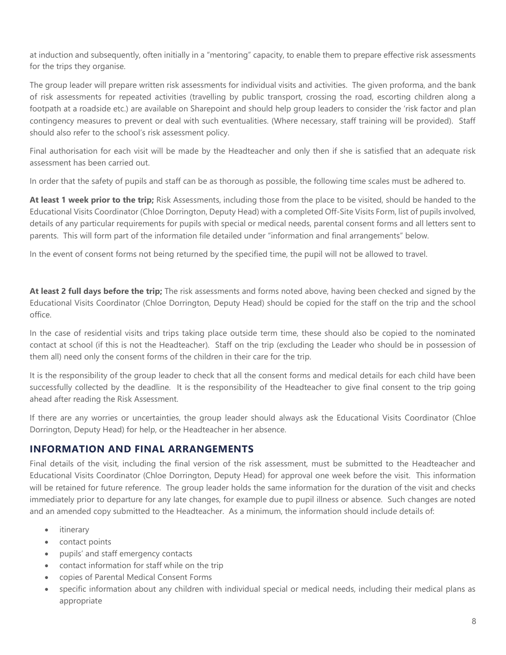at induction and subsequently, often initially in a "mentoring" capacity, to enable them to prepare effective risk assessments for the trips they organise.

The group leader will prepare written risk assessments for individual visits and activities. The given proforma, and the bank of risk assessments for repeated activities (travelling by public transport, crossing the road, escorting children along a footpath at a roadside etc.) are available on Sharepoint and should help group leaders to consider the 'risk factor and plan contingency measures to prevent or deal with such eventualities. (Where necessary, staff training will be provided). Staff should also refer to the school's risk assessment policy.

Final authorisation for each visit will be made by the Headteacher and only then if she is satisfied that an adequate risk assessment has been carried out.

In order that the safety of pupils and staff can be as thorough as possible, the following time scales must be adhered to.

**At least 1 week prior to the trip;** Risk Assessments, including those from the place to be visited, should be handed to the Educational Visits Coordinator (Chloe Dorrington, Deputy Head) with a completed Off-Site Visits Form, list of pupils involved, details of any particular requirements for pupils with special or medical needs, parental consent forms and all letters sent to parents. This will form part of the information file detailed under "information and final arrangements" below.

In the event of consent forms not being returned by the specified time, the pupil will not be allowed to travel.

**At least 2 full days before the trip;** The risk assessments and forms noted above, having been checked and signed by the Educational Visits Coordinator (Chloe Dorrington, Deputy Head) should be copied for the staff on the trip and the school office.

In the case of residential visits and trips taking place outside term time, these should also be copied to the nominated contact at school (if this is not the Headteacher). Staff on the trip (excluding the Leader who should be in possession of them all) need only the consent forms of the children in their care for the trip.

It is the responsibility of the group leader to check that all the consent forms and medical details for each child have been successfully collected by the deadline. It is the responsibility of the Headteacher to give final consent to the trip going ahead after reading the Risk Assessment.

If there are any worries or uncertainties, the group leader should always ask the Educational Visits Coordinator (Chloe Dorrington, Deputy Head) for help, or the Headteacher in her absence.

#### **INFORMATION AND FINAL ARRANGEMENTS**

Final details of the visit, including the final version of the risk assessment, must be submitted to the Headteacher and Educational Visits Coordinator (Chloe Dorrington, Deputy Head) for approval one week before the visit. This information will be retained for future reference. The group leader holds the same information for the duration of the visit and checks immediately prior to departure for any late changes, for example due to pupil illness or absence. Such changes are noted and an amended copy submitted to the Headteacher. As a minimum, the information should include details of:

- itinerary
- contact points
- pupils' and staff emergency contacts
- contact information for staff while on the trip
- copies of Parental Medical Consent Forms
- specific information about any children with individual special or medical needs, including their medical plans as appropriate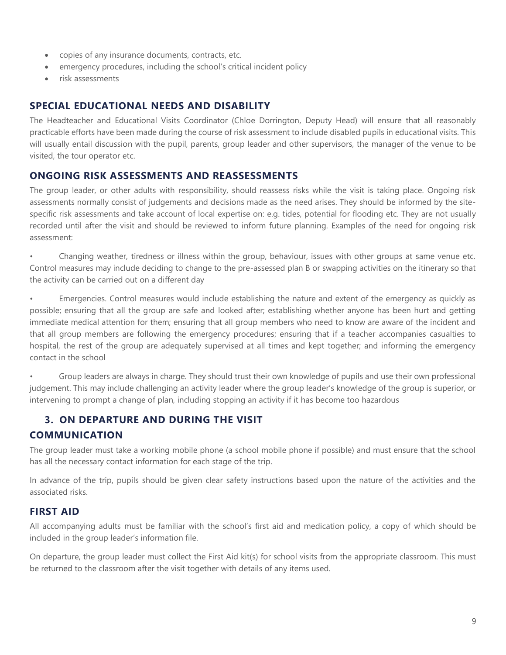- copies of any insurance documents, contracts, etc.
- emergency procedures, including the school's critical incident policy
- risk assessments

### **SPECIAL EDUCATIONAL NEEDS AND DISABILITY**

The Headteacher and Educational Visits Coordinator (Chloe Dorrington, Deputy Head) will ensure that all reasonably practicable efforts have been made during the course of risk assessment to include disabled pupils in educational visits. This will usually entail discussion with the pupil, parents, group leader and other supervisors, the manager of the venue to be visited, the tour operator etc.

#### **ONGOING RISK ASSESSMENTS AND REASSESSMENTS**

The group leader, or other adults with responsibility, should reassess risks while the visit is taking place. Ongoing risk assessments normally consist of judgements and decisions made as the need arises. They should be informed by the sitespecific risk assessments and take account of local expertise on: e.g. tides, potential for flooding etc. They are not usually recorded until after the visit and should be reviewed to inform future planning. Examples of the need for ongoing risk assessment:

• Changing weather, tiredness or illness within the group, behaviour, issues with other groups at same venue etc. Control measures may include deciding to change to the pre-assessed plan B or swapping activities on the itinerary so that the activity can be carried out on a different day

• Emergencies. Control measures would include establishing the nature and extent of the emergency as quickly as possible; ensuring that all the group are safe and looked after; establishing whether anyone has been hurt and getting immediate medical attention for them; ensuring that all group members who need to know are aware of the incident and that all group members are following the emergency procedures; ensuring that if a teacher accompanies casualties to hospital, the rest of the group are adequately supervised at all times and kept together; and informing the emergency contact in the school

• Group leaders are always in charge. They should trust their own knowledge of pupils and use their own professional judgement. This may include challenging an activity leader where the group leader's knowledge of the group is superior, or intervening to prompt a change of plan, including stopping an activity if it has become too hazardous

### **3. ON DEPARTURE AND DURING THE VISIT**

### **COMMUNICATION**

The group leader must take a working mobile phone (a school mobile phone if possible) and must ensure that the school has all the necessary contact information for each stage of the trip.

In advance of the trip, pupils should be given clear safety instructions based upon the nature of the activities and the associated risks.

#### **FIRST AID**

All accompanying adults must be familiar with the school's first aid and medication policy, a copy of which should be included in the group leader's information file.

On departure, the group leader must collect the First Aid kit(s) for school visits from the appropriate classroom. This must be returned to the classroom after the visit together with details of any items used.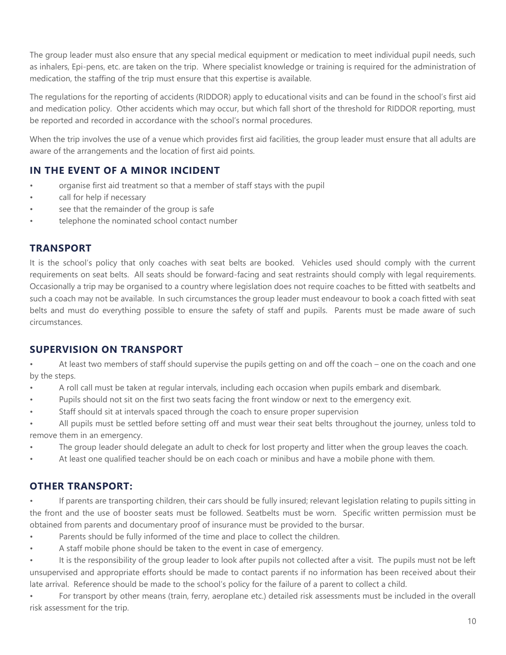The group leader must also ensure that any special medical equipment or medication to meet individual pupil needs, such as inhalers, Epi-pens, etc. are taken on the trip. Where specialist knowledge or training is required for the administration of medication, the staffing of the trip must ensure that this expertise is available.

The regulations for the reporting of accidents (RIDDOR) apply to educational visits and can be found in the school's first aid and medication policy. Other accidents which may occur, but which fall short of the threshold for RIDDOR reporting, must be reported and recorded in accordance with the school's normal procedures.

When the trip involves the use of a venue which provides first aid facilities, the group leader must ensure that all adults are aware of the arrangements and the location of first aid points.

# **IN THE EVENT OF A MINOR INCIDENT**

- organise first aid treatment so that a member of staff stays with the pupil
- call for help if necessary
- see that the remainder of the group is safe
- telephone the nominated school contact number

#### **TRANSPORT**

It is the school's policy that only coaches with seat belts are booked. Vehicles used should comply with the current requirements on seat belts. All seats should be forward-facing and seat restraints should comply with legal requirements. Occasionally a trip may be organised to a country where legislation does not require coaches to be fitted with seatbelts and such a coach may not be available. In such circumstances the group leader must endeavour to book a coach fitted with seat belts and must do everything possible to ensure the safety of staff and pupils. Parents must be made aware of such circumstances.

# **SUPERVISION ON TRANSPORT**

• At least two members of staff should supervise the pupils getting on and off the coach – one on the coach and one by the steps.

- A roll call must be taken at regular intervals, including each occasion when pupils embark and disembark.
- Pupils should not sit on the first two seats facing the front window or next to the emergency exit.
- Staff should sit at intervals spaced through the coach to ensure proper supervision
- All pupils must be settled before setting off and must wear their seat belts throughout the journey, unless told to remove them in an emergency.
- The group leader should delegate an adult to check for lost property and litter when the group leaves the coach.
- At least one qualified teacher should be on each coach or minibus and have a mobile phone with them.

### **OTHER TRANSPORT:**

• If parents are transporting children, their cars should be fully insured; relevant legislation relating to pupils sitting in the front and the use of booster seats must be followed. Seatbelts must be worn. Specific written permission must be obtained from parents and documentary proof of insurance must be provided to the bursar.

- Parents should be fully informed of the time and place to collect the children.
- A staff mobile phone should be taken to the event in case of emergency.

It is the responsibility of the group leader to look after pupils not collected after a visit. The pupils must not be left unsupervised and appropriate efforts should be made to contact parents if no information has been received about their late arrival. Reference should be made to the school's policy for the failure of a parent to collect a child.

• For transport by other means (train, ferry, aeroplane etc.) detailed risk assessments must be included in the overall risk assessment for the trip.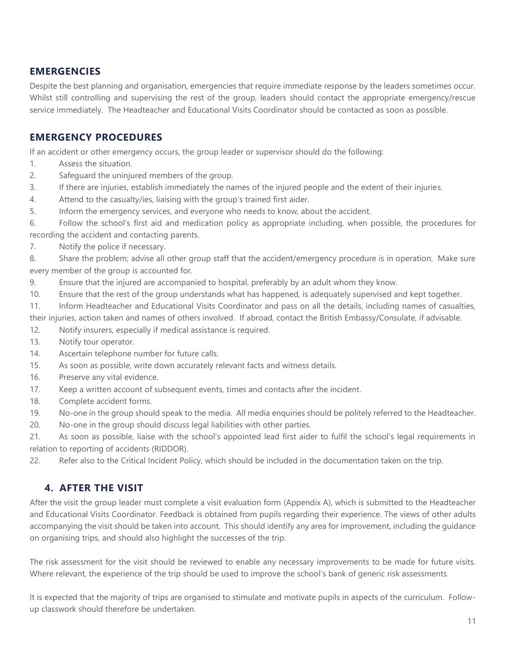#### **EMERGENCIES**

Despite the best planning and organisation, emergencies that require immediate response by the leaders sometimes occur. Whilst still controlling and supervising the rest of the group, leaders should contact the appropriate emergency/rescue service immediately. The Headteacher and Educational Visits Coordinator should be contacted as soon as possible.

#### **EMERGENCY PROCEDURES**

If an accident or other emergency occurs, the group leader or supervisor should do the following:

- 1. Assess the situation.
- 2. Safeguard the uninjured members of the group.
- 3. If there are injuries, establish immediately the names of the injured people and the extent of their injuries.
- 4. Attend to the casualty/ies, liaising with the group's trained first aider.
- 5. Inform the emergency services, and everyone who needs to know, about the accident.

6. Follow the school's first aid and medication policy as appropriate including, when possible, the procedures for recording the accident and contacting parents.

7. Notify the police if necessary.

8. Share the problem; advise all other group staff that the accident/emergency procedure is in operation. Make sure every member of the group is accounted for.

- 9. Ensure that the injured are accompanied to hospital, preferably by an adult whom they know.
- 10. Ensure that the rest of the group understands what has happened, is adequately supervised and kept together.

11. Inform Headteacher and Educational Visits Coordinator and pass on all the details, including names of casualties, their injuries, action taken and names of others involved. If abroad, contact the British Embassy/Consulate, if advisable.

- 12. Notify insurers, especially if medical assistance is required.
- 13. Notify tour operator.
- 14. Ascertain telephone number for future calls.
- 15. As soon as possible, write down accurately relevant facts and witness details.
- 16. Preserve any vital evidence.
- 17. Keep a written account of subsequent events, times and contacts after the incident.
- 18. Complete accident forms.
- 19. No-one in the group should speak to the media. All media enquiries should be politely referred to the Headteacher.
- 20. No-one in the group should discuss legal liabilities with other parties.

21. As soon as possible, liaise with the school's appointed lead first aider to fulfil the school's legal requirements in relation to reporting of accidents (RIDDOR).

22. Refer also to the Critical Incident Policy, which should be included in the documentation taken on the trip.

### **4. AFTER THE VISIT**

After the visit the group leader must complete a visit evaluation form (Appendix A), which is submitted to the Headteacher and Educational Visits Coordinator. Feedback is obtained from pupils regarding their experience. The views of other adults accompanying the visit should be taken into account. This should identify any area for improvement, including the guidance on organising trips, and should also highlight the successes of the trip.

The risk assessment for the visit should be reviewed to enable any necessary improvements to be made for future visits. Where relevant, the experience of the trip should be used to improve the school's bank of generic risk assessments.

It is expected that the majority of trips are organised to stimulate and motivate pupils in aspects of the curriculum. Followup classwork should therefore be undertaken.